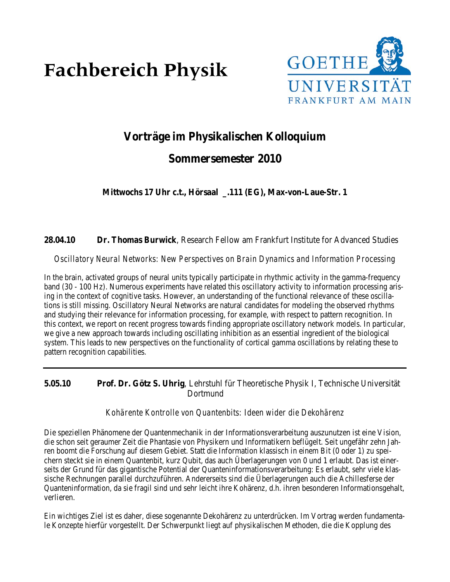# **Fachbereich Physik**



# **Vorträge im Physikalischen Kolloquium**

# **Sommersemester 2010**

**Mittwochs 17 Uhr c.t., Hörsaal \_.111 (EG), Max-von-Laue-Str. 1**

**28.04.10 Dr. Thomas Burwick**, Research Fellow am Frankfurt Institute for Advanced Studies

*Oscillatory Neural Networks: New Perspectives on Brain Dynamics and Information Processing*

In the brain, activated groups of neural units typically participate in rhythmic activity in the gamma-frequency band (30 - 100 Hz). Numerous experiments have related this oscillatory activity to information processing arising in the context of cognitive tasks. However, an understanding of the functional relevance of these oscillations is still missing. Oscillatory Neural Networks are natural candidates for modeling the observed rhythms and studying their relevance for information processing, for example, with respect to pattern recognition. In this context, we report on recent progress towards finding appropriate oscillatory network models. In particular, we give a new approach towards including oscillating inhibition as an essential ingredient of the biological system. This leads to new perspectives on the functionality of cortical gamma oscillations by relating these to pattern recognition capabilities.

**5.05.10 Prof. Dr. Götz S. Uhrig**, Lehrstuhl für Theoretische Physik I, Technische Universität Dortmund

#### *Kohärente Kontrolle von Quantenbits: Ideen wider die Dekohärenz*

Die speziellen Phänomene der Quantenmechanik in der Informationsverarbeitung auszunutzen ist eine Vision, die schon seit geraumer Zeit die Phantasie von Physikern und Informatikern beflügelt. Seit ungefähr zehn Jahren boomt die Forschung auf diesem Gebiet. Statt die Information klassisch in einem Bit (0 oder 1) zu speichern steckt sie in einem Quantenbit, kurz Qubit, das auch Überlagerungen von 0 und 1 erlaubt. Das ist einerseits der Grund für das gigantische Potential der Quanteninformationsverarbeitung: Es erlaubt, sehr viele klassische Rechnungen parallel durchzuführen. Andererseits sind die Überlagerungen auch die Achillesferse der Quanteninformation, da sie fragil sind und sehr leicht ihre Kohärenz, d.h. ihren besonderen Informationsgehalt, verlieren.

Ein wichtiges Ziel ist es daher, diese sogenannte Dekohärenz zu unterdrücken. Im Vortrag werden fundamentale Konzepte hierfür vorgestellt. Der Schwerpunkt liegt auf physikalischen Methoden, die die Kopplung des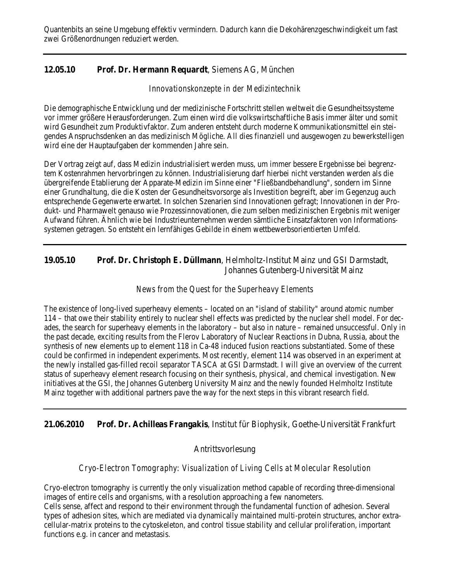# **12.05.10 Prof. Dr. Hermann Requardt**, Siemens AG, München

#### *Innovationskonzepte in der Medizintechnik*

Die demographische Entwicklung und der medizinische Fortschritt stellen weltweit die Gesundheitssysteme vor immer größere Herausforderungen. Zum einen wird die volkswirtschaftliche Basis immer älter und somit wird Gesundheit zum Produktivfaktor. Zum anderen entsteht durch moderne Kommunikationsmittel ein steigendes Anspruchsdenken an das medizinisch Mögliche. All dies finanziell und ausgewogen zu bewerkstelligen wird eine der Hauptaufgaben der kommenden Jahre sein.

Der Vortrag zeigt auf, dass Medizin industrialisiert werden muss, um immer bessere Ergebnisse bei begrenztem Kostenrahmen hervorbringen zu können. Industrialisierung darf hierbei nicht verstanden werden als die übergreifende Etablierung der Apparate-Medizin im Sinne einer "Fließbandbehandlung", sondern im Sinne einer Grundhaltung, die die Kosten der Gesundheitsvorsorge als Investition begreift, aber im Gegenzug auch entsprechende Gegenwerte erwartet. In solchen Szenarien sind Innovationen gefragt; Innovationen in der Produkt- und Pharmawelt genauso wie Prozessinnovationen, die zum selben medizinischen Ergebnis mit weniger Aufwand führen. Ähnlich wie bei Industrieunternehmen werden sämtliche Einsatzfaktoren von Informationssystemen getragen. So entsteht ein lernfähiges Gebilde in einem wettbewerbsorientierten Umfeld.

## **19.05.10 Prof. Dr. Christoph E. Düllmann**, Helmholtz-Institut Mainz und GSI Darmstadt, Johannes Gutenberg-Universität Mainz

## *News from the Quest for the Superheavy Elements*

The existence of long-lived superheavy elements – located on an "island of stability" around atomic number 114 – that owe their stability entirely to nuclear shell effects was predicted by the nuclear shell model. For decades, the search for superheavy elements in the laboratory – but also in nature – remained unsuccessful. Only in the past decade, exciting results from the Flerov Laboratory of Nuclear Reactions in Dubna, Russia, about the synthesis of new elements up to element 118 in Ca-48 induced fusion reactions substantiated. Some of these could be confirmed in independent experiments. Most recently, element 114 was observed in an experiment at the newly installed gas-filled recoil separator TASCA at GSI Darmstadt. I will give an overview of the current status of superheavy element research focusing on their synthesis, physical, and chemical investigation. New initiatives at the GSI, the Johannes Gutenberg University Mainz and the newly founded Helmholtz Institute Mainz together with additional partners pave the way for the next steps in this vibrant research field.

# **21.06.2010 Prof. Dr. Achilleas Frangakis**, Institut für Biophysik, Goethe-Universität Frankfurt

# Antrittsvorlesung

# *Cryo-Electron Tomography: Visualization of Living Cells at Molecular Resolution*

Cryo-electron tomography is currently the only visualization method capable of recording three-dimensional images of entire cells and organisms, with a resolution approaching a few nanometers.

Cells sense, affect and respond to their environment through the fundamental function of adhesion. Several types of adhesion sites, which are mediated via dynamically maintained multi-protein structures, anchor extracellular-matrix proteins to the cytoskeleton, and control tissue stability and cellular proliferation, important functions e.g. in cancer and metastasis.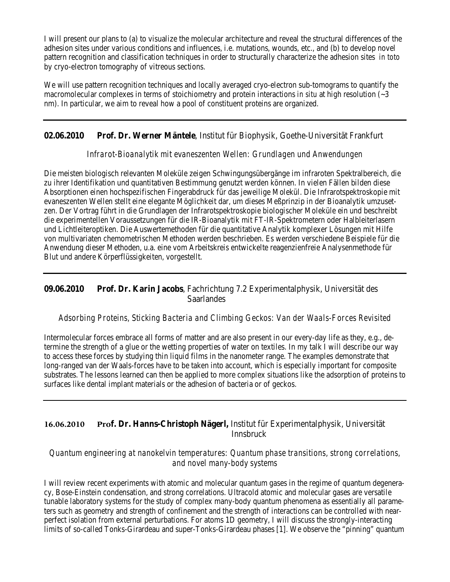I will present our plans to (a) to visualize the molecular architecture and reveal the structural differences of the adhesion sites under various conditions and influences, i.e. mutations, wounds, etc., and (b) to develop novel pattern recognition and classification techniques in order to structurally characterize the adhesion sites *in toto*  by cryo-electron tomography of vitreous sections.

We will use pattern recognition techniques and locally averaged cryo-electron sub-tomograms to quantify the macromolecular complexes in terms of stoichiometry and protein interactions *in situ* at high resolution (~3 nm). In particular, we aim to reveal how a pool of constituent proteins are organized.

# **02.06.2010 Prof. Dr. Werner Mäntele**, Institut für Biophysik, Goethe-Universität Frankfurt

#### *Infrarot-Bioanalytik mit evaneszenten Wellen: Grundlagen und Anwendungen*

Die meisten biologisch relevanten Moleküle zeigen Schwingungsübergänge im infraroten Spektralbereich, die zu ihrer Identifikation und quantitativen Bestimmung genutzt werden können. In vielen Fällen bilden diese Absorptionen einen hochspezifischen Fingerabdruck für das jeweilige Molekül. Die Infrarotspektroskopie mit evaneszenten Wellen stellt eine elegante Möglichkeit dar, um dieses Meßprinzip in der Bioanalytik umzusetzen. Der Vortrag führt in die Grundlagen der Infrarotspektroskopie biologischer Moleküle ein und beschreibt die experimentellen Voraussetzungen für die IR-Bioanalytik mit FT-IR-Spektrometern oder Halbleiterlasern und Lichtleiteroptiken. Die Auswertemethoden für die quantitative Analytik komplexer Lösungen mit Hilfe von multivariaten chemometrischen Methoden werden beschrieben. Es werden verschiedene Beispiele für die Anwendung dieser Methoden, u.a. eine vom Arbeitskreis entwickelte reagenzienfreie Analysenmethode für Blut und andere Körperflüssigkeiten, vorgestellt.

#### **09.06.2010 Prof. Dr. Karin Jacobs**, Fachrichtung 7.2 Experimentalphysik, Universität des Saarlandes

#### *Adsorbing Proteins, Sticking Bacteria and Climbing Geckos: Van der Waals-Forces Revisited*

Intermolecular forces embrace all forms of matter and are also present in our every-day life as they, e.g., determine the strength of a glue or the wetting properties of water on textiles. In my talk I will describe our way to access these forces by studying thin liquid films in the nanometer range. The examples demonstrate that long-ranged van der Waals-forces have to be taken into account, which is especially important for composite substrates. The lessons learned can then be applied to more complex situations like the adsorption of proteins to surfaces like dental implant materials or the adhesion of bacteria or of geckos.

## **16.06.2010 Prof. Dr. Hanns-Christoph Nägerl,** Institut für Experimentalphysik, Universität Innsbruck

#### *Quantum engineering at nanokelvin temperatures: Quantum phase transitions, strong correlations, and novel many-body systems*

I will review recent experiments with atomic and molecular quantum gases in the regime of quantum degeneracy, Bose-Einstein condensation, and strong correlations. Ultracold atomic and molecular gases are versatile tunable laboratory systems for the study of complex many-body quantum phenomena as essentially all parameters such as geometry and strength of confinement and the strength of interactions can be controlled with nearperfect isolation from external perturbations. For atoms 1D geometry, I will discuss the strongly-interacting limits of so-called Tonks-Girardeau and super-Tonks-Girardeau phases [1]. We observe the "pinning" quantum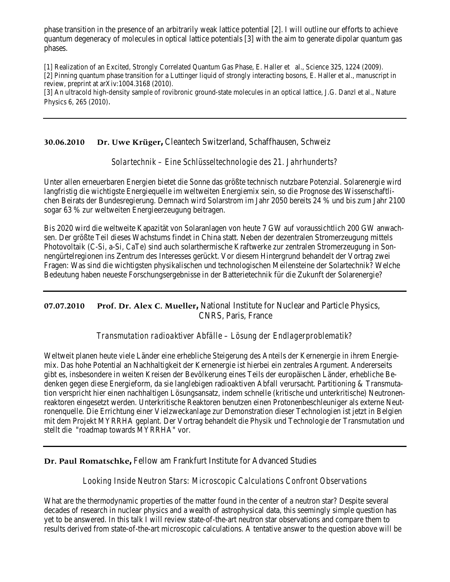phase transition in the presence of an arbitrarily weak lattice potential [2]. I will outline our efforts to achieve quantum degeneracy of molecules in optical lattice potentials [3] with the aim to generate dipolar quantum gas phases.

[1] Realization of an Excited, Strongly Correlated Quantum Gas Phase, E. Haller et al., Science 325, 1224 (2009). [2] Pinning quantum phase transition for a Luttinger liquid of strongly interacting bosons, E. Haller et al., manuscript in review, preprint at arXiv:1004.3168 (2010).

[3] An ultracold high-density sample of rovibronic ground-state molecules in an optical lattice, J.G. Danzl et al., Nature Physics 6, 265 (2010).

**30.06.2010 Dr. Uwe Krüger,** Cleantech Switzerland, Schaffhausen, Schweiz

*Solartechnik – Eine Schlüsseltechnologie des 21. Jahrhunderts?*

Unter allen erneuerbaren Energien bietet die Sonne das größte technisch nutzbare Potenzial. Solarenergie wird langfristig die wichtigste Energiequelle im weltweiten Energiemix sein, so die Prognose des Wissenschaftlichen Beirats der Bundesregierung. Demnach wird Solarstrom im Jahr 2050 bereits 24 % und bis zum Jahr 2100 sogar 63 % zur weltweiten Energieerzeugung beitragen.

Bis 2020 wird die weltweite Kapazität von Solaranlagen von heute 7 GW auf voraussichtlich 200 GW anwachsen. Der größte Teil dieses Wachstums findet in China statt. Neben der dezentralen Stromerzeugung mittels Photovoltaik (C-Si, a-Si, CaTe) sind auch solarthermische Kraftwerke zur zentralen Stromerzeugung in Sonnengürtelregionen ins Zentrum des Interesses gerückt. Vor diesem Hintergrund behandelt der Vortrag zwei Fragen: Was sind die wichtigsten physikalischen und technologischen Meilensteine der Solartechnik? Welche Bedeutung haben neueste Forschungsergebnisse in der Batterietechnik für die Zukunft der Solarenergie?

## **07.07.2010 Prof. Dr. Alex C. Mueller,** National Institute for Nuclear and Particle Physics, CNRS, Paris, France

*Transmutation radioaktiver Abfälle – Lösung der Endlagerproblematik?*

Weltweit planen heute viele Länder eine erhebliche Steigerung des Anteils der Kernenergie in ihrem Energiemix. Das hohe Potential an Nachhaltigkeit der Kernenergie ist hierbei ein zentrales Argument. Andererseits gibt es, insbesondere in weiten Kreisen der Bevölkerung eines Teils der europäischen Länder, erhebliche Bedenken gegen diese Energieform, da sie langlebigen radioaktiven Abfall verursacht. Partitioning & Transmutation verspricht hier einen nachhaltigen Lösungsansatz, indem schnelle (kritische und unterkritische) Neutronenreaktoren eingesetzt werden. Unterkritische Reaktoren benutzen einen Protonenbeschleuniger als externe Neutronenquelle. Die Errichtung einer Vielzweckanlage zur Demonstration dieser Technologien ist jetzt in Belgien mit dem Projekt MYRRHA geplant. Der Vortrag behandelt die Physik und Technologie der Transmutation und stellt die "roadmap towards MYRRHA" vor.

#### **Dr. Paul Romatschke,** Fellow am Frankfurt Institute for Advanced Studies

#### *Looking Inside Neutron Stars: Microscopic Calculations Confront Observations*

What are the thermodynamic properties of the matter found in the center of a neutron star? Despite several decades of research in nuclear physics and a wealth of astrophysical data, this seemingly simple question has yet to be answered. In this talk I will review state-of-the-art neutron star observations and compare them to results derived from state-of-the-art microscopic calculations. A tentative answer to the question above will be